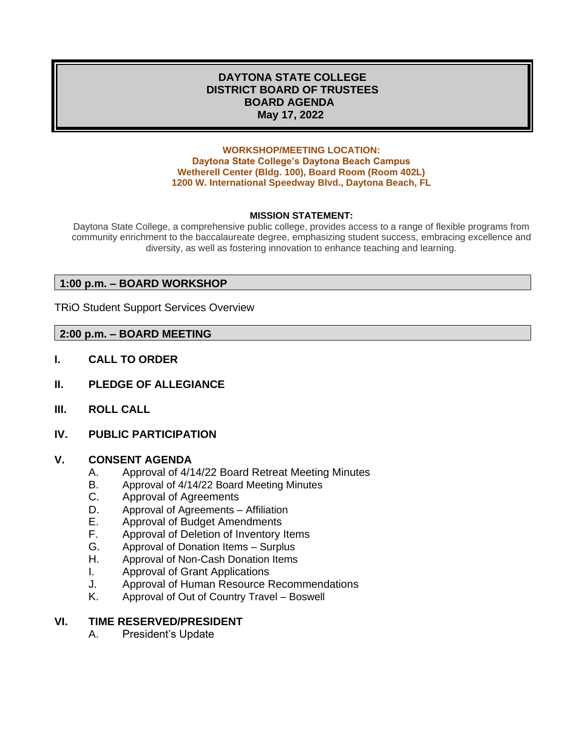## **DAYTONA STATE COLLEGE DISTRICT BOARD OF TRUSTEES BOARD AGENDA May 17, 2022**

#### **WORKSHOP/MEETING LOCATION: Daytona State College's Daytona Beach Campus Wetherell Center (Bldg. 100), Board Room (Room 402L) 1200 W. International Speedway Blvd., Daytona Beach, FL**

### **MISSION STATEMENT:**

Daytona State College, a comprehensive public college, provides access to a range of flexible programs from community enrichment to the baccalaureate degree, emphasizing student success, embracing excellence and diversity, as well as fostering innovation to enhance teaching and learning.

### **1:00 p.m. – BOARD WORKSHOP**

TRiO Student Support Services Overview

### **2:00 p.m. – BOARD MEETING**

- **I. CALL TO ORDER**
- **II. PLEDGE OF ALLEGIANCE**
- **III. ROLL CALL**
- **IV. PUBLIC PARTICIPATION**

## **V. CONSENT AGENDA**

- A. Approval of 4/14/22 Board Retreat Meeting Minutes
- B. Approval of 4/14/22 Board Meeting Minutes
- C. Approval of Agreements
- D. Approval of Agreements Affiliation
- E. Approval of Budget Amendments
- F. Approval of Deletion of Inventory Items
- G. Approval of Donation Items Surplus
- H. Approval of Non-Cash Donation Items
- I. Approval of Grant Applications
- J. Approval of Human Resource Recommendations
- K. Approval of Out of Country Travel Boswell

### **VI. TIME RESERVED/PRESIDENT**

A. President's Update